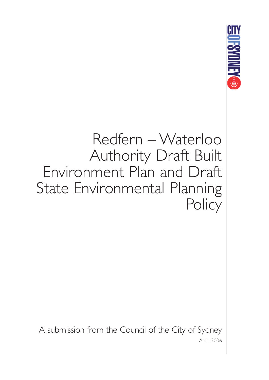

# Redfern – Waterloo Authority Draft Built Environment Plan and Draft State Environmental Planning **Policy**

A submission from the Council of the City of Sydney April 2006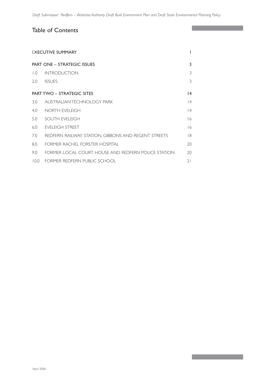I

### Table of Contents

| <b>FXECUTIVE SUMMARY</b>           |                                                     |    |
|------------------------------------|-----------------------------------------------------|----|
| <b>PART ONE – STRATEGIC ISSUES</b> |                                                     | 3  |
| $\overline{0}$ .                   | <b>INTRODUCTION</b>                                 | 3  |
| 2.0                                | <b>ISSUES</b>                                       | 3  |
| <b>PART TWO - STRATEGIC SITES</b>  |                                                     | 4  |
| 3.0                                | AUSTRALIAN TECHNOLOGY PARK                          | 4  |
| 4.0                                | NORTH EVEL FIGH                                     | 4  |
| 5.0                                | SOUTH EVELEIGH                                      | 16 |
| 6.0                                | EVELEIGH STREET                                     | 16 |
| 7.0                                | REDFERN RAILWAY STATION, GIBBONS AND REGENT STREETS | 8  |
| 8.0                                | FORMER RACHEL FORSTER HOSPITAL                      | 20 |
| 9.0                                | FORMER LOCAL COURT HOUSE AND REDFERN POLICE STATION | 20 |
| 10.0                               | FORMER REDFERN PUBLIC SCHOOL                        | 21 |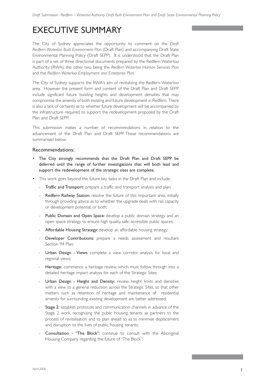# EXECUTIVE SUMMARY

The City of Sydney appreciates the opportunity to comment on the *Draft Redfern-Waterloo Built Environment Plan* (Draft Plan) and accompanying Draft State Environmental Planning Policy (Draft SEPP). It is understood that the Draft Plan is part of a set of three directional documents prepared by the Redfern Waterloo Authority (RWA), the other two being the *Redfern Waterloo Human Services Plan*  and the *Redfern Waterloo Employment and Enterprise Plan*.

The City of Sydney supports the RWA's aim of revitalising the Redfern-Waterloo area. However the present form and content of the Draft Plan and Draft SEPP include significant future building heights and development densities that may compromise the amenity of both existing and future development in Redfern. There is also a lack of certainty as to whether future development will be accompanied by the infrastructure required to support the redevelopment proposed by the Draft Plan and Draft SEPP.

This submission makes a number of recommendations in relation to the advancement of the Draft Plan and Draft SEPP. These recommendations are summarised below.

### Recommendations:

- The City strongly recommends that the Draft Plan and Draft SEPP be deferred until the range of further investigations that will both lead and support the redevelopment of the strategic sites are complete.
- This work goes beyond the future key tasks in the Draft Plan and include:
	- Traffic and Transport: prepare a traffic and transport analysis and plan;
	- Redfern Railway Station: resolve the future of this important area, initially through providing advice as to whether the upgrade deals with rail capacity or development potential, or both;
	- Public Domain and Open Space: develop a public domain strategy and an open space strategy, to ensure high quality, safe, accessible public spaces;
	- Affordable Housing Strategy: develop an affordable housing strategy;
	- Developer Contributions: prepare a needs assessment and resultant Section 94 Plan;
	- Urban Design Views: complete a view corridor analysis for local and regional views;
	- Heritage: commence a heritage review, which must follow through into a detailed heritage impact analysis for each of the Strategic Sites;
	- Urban Design Height and Density: review height limits and densities with a view to a general reduction across the Strategic Sites, so that other matters such as retention of heritage and maintenance of residential amenity for surrounding existing development are better addressed;
	- Stage 2: establish protocols and communication channels in advance of the Stage 2 work, recognising the public housing tenants as partners to the process of revitalisation and to plan ahead so as to minimise displacement and disruption to the lives of public housing tenants;
	- Consultation "The Block": continue to consult with the Aboriginal Housing Company regarding the future of "The Block";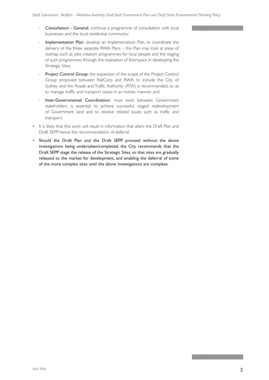- Consultation General: continue a programme of consultation with local businesses and the local residential community;
- Implementation Plan: develop an Implementation Plan, to coordinate the delivery of the three separate RWA Plans – this Plan may look at areas of overlap such as jobs creation programmes for local people and the staging of such programmes through the realisation of floorspace in developing the Strategic Sites;
- Project Control Group: the expansion of the scope of the Project Control Group proposed between RailCorp and RWA to include the City of Sydney and the Roads and Traffic Authority (RTA) is recommended, so as to manage traffic and transport issues in an holistic manner; and
- Inter-Governmental Coordination: must exist between Government stakeholders is essential to achieve successful, staged redevelopment of Government land and to resolve related issues such as traffic and transport.
- It is likely that this work will result in information that alters the Draft Plan and Draft SEPP, hence the recommendation of deferral.
- Should the Draft Plan and the Draft SEPP proceed without the above investigations being undertaken/completed, the City recommends that the Draft SEPP stage the release of the Strategic Sites, so that sites are gradually released to the market for development, and enabling the deferral of some of the more complex sites until the above investigations are complete.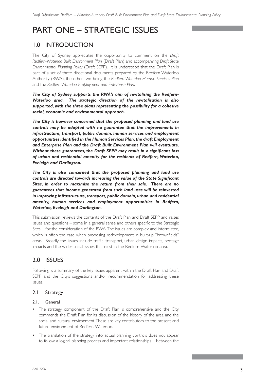# PART ONE – STRATEGIC ISSUES

### 1.0 INTRODUCTION

The City of Sydney appreciates the opportunity to comment on the *Draft Redfern-Waterloo Built Environment Plan* (Draft Plan) and accompanying *Draft State Environmental Planning Policy* (Draft SEPP). It is understood that the Draft Plan is part of a set of three directional documents prepared by the Redfern Waterloo Authority (RWA), the other two being the *Redfern Waterloo Human Services Plan* and the *Redfern Waterloo Employment and Enterprise Plan*.

*The City of Sydney supports the RWA's aim of revitalising the Redfern-Waterloo area. The strategic direction of the revitalisation is also supported, with the three plans representing the possibility for a cohesive social, economic and environmental approach.* 

*The City is however concerned that the proposed planning and land use controls may be adopted with no guarantee that the improvements in infrastructure, transport, public domain, human services and employment opportunities identified in the Human Services Plan, the draft Employment and Enterprise Plan and the Draft Built Environment Plan will eventuate. Without these guarantees, the Draft SEPP may result in a significant loss of urban and residential amenity for the residents of Redfern, Waterloo, Eveleigh and Darlington.*

*The City is also concerned that the proposed planning and land use controls are directed towards increasing the value of the State Significant Sites, in order to maximise the return from their sale. There are no guarantees that income generated from such land uses will be reinvested in improving infrastructure, transport, public domain, urban and residential amenity, human services and employment opportunities in Redfern, Waterloo, Eveleigh and Darlington.*

This submission reviews the contents of the Draft Plan and Draft SEPP and raises issues and questions – some in a general sense and others specific to the Strategic Sites – for the consideration of the RWA. The issues are complex and interrelated, which is often the case when proposing redevelopment in built-up, "brownfields" areas. Broadly the issues include traffic, transport, urban design impacts, heritage impacts and the wider social issues that exist in the Redfern-Waterloo area.

### 2.0 ISSUES

Following is a summary of the key issues apparent within the Draft Plan and Draft SEPP and the City's suggestions and/or recommendation for addressing these issues.

### 2.1 Strategy

### 2.1.1 General

- The strategy component of the Draft Plan is comprehensive and the City commends the Draft Plan for its discussion of the history of the area and the social and cultural environment. These are key contributors to the present and future environment of Redfern-Waterloo.
- The translation of the strategy into actual planning controls does not appear to follow a logical planning process and important relationships – between the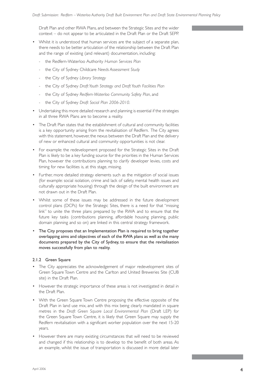Draft Plan and other RWA Plans, and between the Strategic Sites and the wider context – do not appear to be articulated in the Draft Plan or the Draft SEPP.

- Whilst it is understood that human services are the subject of a separate plan, there needs to be better articulation of the relationship between the Draft Plan and the range of existing (and relevant) documentation, including:
	- the Redfern-Waterloo Authority *Human Services Plan*
	- the City of Sydney Childcare *Needs Assessment Study*
	- the City of Sydney *Library Strategy*
	- the City of Sydney *Draft Youth Strategy and Draft Youth Facilities Plan*
	- the City of Sydney *Redfern-Waterloo Community Safety Plan*, and
	- the City of Sydney *Draft Social Plan 2006-2010*.
- Undertaking this more detailed research and planning is essential if the strategies in all three RWA Plans are to become a reality.
- The Draft Plan states that the establishment of cultural and community facilities is a key opportunity arising from the revitalisation of Redfern. The City agrees with this statement, however, the nexus between the Draft Plan and the delivery of new or enhanced cultural and community opportunities is not clear.
- For example: the redevelopment proposed for the Strategic Sites in the Draft Plan is likely to be a key funding source for the priorities in the Human Services Plan, however the contributions planning to clarify developer levies, costs and timing for new facilities is, at this stage, missing.
- Further, more detailed strategy elements such as the mitigation of social issues (for example: social isolation, crime and lack of safety, mental health issues and culturally appropriate housing) through the design of the built environment are not drawn out in the Draft Plan.
- Whilst some of these issues may be addressed in the future development control plans (DCPs) for the Strategic Sites, there is a need for that "missing link" to unite the three plans prepared by the RWA and to ensure that the future key tasks (contributions planning, affordable housing planning, public domain planning and so on) are linked in this central strategy framework.
- The City proposes that an Implementation Plan is required to bring together overlapping aims and objectives of each of the RWA plans as well as the many documents prepared by the City of Sydney, to ensure that the revitalisation moves successfully from plan to reality.

### 2.1.2 Green Square

- The City appreciates the acknowledgement of major redevelopment sites of Green Square Town Centre and the Carlton and United Breweries Site (CUB site) in the Draft Plan.
- However the strategic importance of these areas is not investigated in detail in the Draft Plan.
- With the Green Square Town Centre proposing the effective opposite of the Draft Plan in land use mix, and with this mix being clearly mandated in square metres in the *Draft Green Square Local Environmental Plan* (Draft LEP) for the Green Square Town Centre, it is likely that Green Square may supply the Redfern revitalisation with a significant worker population over the next 15-20 years.
- However there are many existing circumstances that will need to be reviewed and changed if this relationship is to develop to the benefit of both areas. As an example, whilst the issue of transportation is discussed in more detail later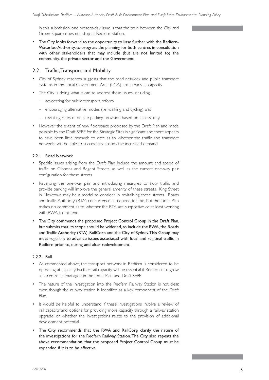in this submission, one present-day issue is that the train between the City and Green Square does not stop at Redfern Station.

• The City looks forward to the opportunity to liase further with the Redfern-Waterloo Authority, to progress the planning for both centres in consultation with other stakeholders that may include (but are not limited to) the community, the private sector and the Government.

### 2.2 Traffic, Transport and Mobility

- City of Sydney research suggests that the road network and public transport systems in the Local Government Area (LGA) are already at capacity.
- The City is doing what it can to address these issues, including:
	- advocating for public transport reform
	- encouraging alternative modes (i.e. walking and cycling) and
	- revisiting rates of on-site parking provision based on accessibility.
- However the extent of new floorspace proposed by the Draft Plan and made possible by the Draft SEPP for the Strategic Sites is significant and there appears to have been little research to date as to whether the traffic and transport networks will be able to successfully absorb the increased demand.

### 2.2.1 Road Network

- Specific issues arising from the Draft Plan include the amount and speed of traffic on Gibbons and Regent Streets, as well as the current one-way pair configuration for these streets.
- Reversing the one-way pair and introducing measures to slow traffic and provide parking will improve the general amenity of these streets. King Street in Newtown may be a model to consider in revitalising these streets. Roads and Traffic Authority (RTA) concurrence is required for this, but the Draft Plan makes no comment as to whether the RTA are supportive or at least working with RWA to this end.
- The City commends the proposed Project Control Group in the Draft Plan, but submits that its scope should be widened, to include the RWA, the Roads and Traffic Authority (RTA), RailCorp and the City of Sydney. This Group may meet regularly to advance issues associated with local and regional traffic in Redfern prior to, during and after redevelopment.

### 2.2.2 Rail

- As commented above, the transport network in Redfern is considered to be operating at capacity. Further rail capacity will be essential if Redfern is to grow as a centre as envisaged in the Draft Plan and Draft SEPP.
- The nature of the investigation into the Redfern Railway Station is not clear, even though the railway station is identified as a key component of the Draft Plan.
- It would be helpful to understand if these investigations involve a review of rail capacity and options for providing more capacity through a railway station upgrade, or whether the investigations relate to the provision of additional development potential.
- The City recommends that the RWA and RailCorp clarify the nature of the investigations for the Redfern Railway Station. The City also repeats the above recommendation, that the proposed Project Control Group must be expanded if it is to be effective.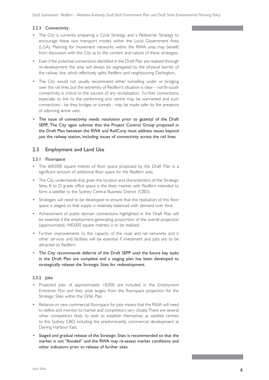### 2.2.3 Connectivity

- The City is currently preparing a Cycle Strategy and a Pedestrian Strategy to encourage these two transport modes within the Local Government Area (LGA). Planning for movement networks within the RWA area may benefit from discussion with the City as to the content and nature of these strategies.
- Even if the potential connections identified in the Draft Plan are realised through re-development, the area will always be segregated by the physical barrier of the railway line, which effectively splits Redfern and neighbouring Darlington..
- The City would not usually recommend either tunnelling under or bridging over the rail lines, but the extremity of Redfern's situation is clear – north-south connectivity is critical to the success of any revitalisation. Further connections, especially to link to the performing arts centre may be warranted and such connections - be they bridges or tunnels - may be made safer by the presence of adjoining active uses.
- The issue of connectivity needs resolution prior to gazettal of the Draft SEPP,. The City again submits that the Project Control Group proposed in the Draft Plan between the RWA and RailCorp must address issues beyond just the railway station, including issues of connectivity across the rail lines.

### 2.3 Employment and Land Use

### 2.3.1 Floorspace

- The 600,000 square metres of floor space proposed by the Draft Plan is a significant amount of additional floor space for the Redfern area.
- The City understands that given the location and characteristics of the Strategic Sites, B to D grade office space is the likely market, with Redfern intended to form a satellite to the Sydney Central Business District (CBD).
- Strategies will need to be developed to ensure that the realisation of this floor space is staged, so that supply is relatively balanced with demand over time.
- Achievement of public domain connections highlighted in the Draft Plan will be essential if the employment-generating proportion of the overall projection (approximately 440,000 square metres) is to be realised.
- Further improvements to the capacity of the road and rail networks and ti other services and facilities will be essential if investment and jobs are to be attracted to Redfern.
- The City recommends deferral of the Draft SEPP until the future key tasks in the Draft Plan are complete and a staging plan has been developed to strategically release the Strategic Sites for redevelopment.

### 2.3.2 Jobs

- Projected jobs of approximately 18,000 are included in the *Employment Enterprise Plan* and they arise largely from the floorspace projection for the Strategic Sites within the Drfat Plan.
- Reliance on new commercial floorspace for jobs means that the RWA will need to define and monitor its market and competitors very closely. There are several other competitors likely to seek to establish themselves as satellite centres to the Sydney CBD, including the predominantly commercial development at Darling Harbour East.
- Staged and gradual release of the Strategic Sites is recommended so that the market is not "flooded" and the RWA may re-assess market conditions and other indicators prior to release of further sites.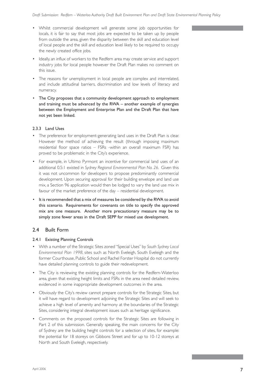- Whilst commercial development will generate some job opportunities for locals, it is fair to say that most jobs are expected to be taken up by people from outside the area, given the disparity between the skill and education level of local people and the skill and education level likely to be required to occupy the newly created office jobs.
- Ideally, an influx of workers to the Redfern area may create service and support industry jobs for local people however the Draft Plan makes no comment on this issue.
- The reasons for unemployment in local people are complex and interrelated, and include attitudinal barriers, discrimination and low levels of literacy and numeracy.
- The City proposes that a community development approach to employment and training must be advanced by the RWA – another example of synergies between the Employment and Enterprise Plan and the Draft Plan that have not yet been linked.

### 2.3.3 Land Uses

- The preference for employment-generating land uses in the Draft Plan is clear. However the method of achieving the result (through imposing maximum residential floor space ratios – FSRs -within an overall maximum FSR) has proved to be problematic in the City's experience.
- For example, in Ultimo Pyrmont an incentive for commercial land uses of an additional 0.5:1 existed in *Sydney Regional Environmental Plan No. 26*. Given this it was not uncommon for developers to propose predominantly commercial development. Upon securing approval for their building envelope and land use mix, a Section 96 application would then be lodged to vary the land use mix in favour of the market preference of the day – residential development.
- It is recommended that a mix of measures be considered by the RWA to avoid this scenario. Requirements for covenants on title to specify the approved mix are one measure. Another more precautionary measure may be to simply zone fewer areas in the Draft SEPP for mixed use development.

### 2.4 Built Form

### 2.4.1 Existing Planning Controls

- With a number of the Strategic Sites zoned "Special Uses" by *South Sydney Local Environmental Plan 1998*, sites such as North Eveleigh, South Eveleigh and the former Courthouse, Public School and Rachel Forster Hospital do not currently have detailed planning controls to guide their redevelopment.
- The City is reviewing the existing planning controls for the Redfern-Waterloo area, given that existing height limits and FSRs in the area need detailed review, evidenced in some inappropriate development outcomes in the area.
- Obviously the City's review cannot prepare controls for the Strategic Sites, but it will have regard to development adjoining the Strategic Sites and will seek to achieve a high level of amenity and harmony at the boundaries of the Strategic Sites, considering integral development issues such as heritage significance.
- Comments on the proposed controls for the Strategic Sites are following in Part 2 of this submission. Generally speaking, the main concerns for the City of Sydney are the building height controls for a selection of sites, for example: the potential for 18 storeys on Gibbons Street and for up to 10-12 storeys at North and South Eveleigh, respectively.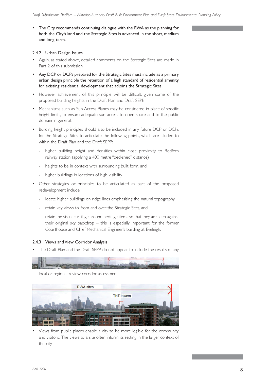• The City recommends continuing dialogue with the RWA as the planning for both the City's land and the Strategic Sites is advanced in the short, medium and long-term.

#### 2.4.2 Urban Design Issues

- Again, as stated above, detailed comments on the Strategic Sites are made in Part 2 of this submission.
- Any DCP or DCPs prepared for the Strategic Sites must include as a primary urban design principle the retention of a high standard of residential amenity for existing residential development that adjoins the Strategic Sites.
- However achievement of this principle will be difficult, given some of the proposed building heights in the Draft Plan and Draft SEPP.
- Mechanisms such as Sun Access Planes may be considered in place of specific height limits, to ensure adequate sun access to open space and to the public domain in general.
- Building height principles should also be included in any future DCP or DCPs for the Strategic Sites to articulate the following points, which are alluded to within the Draft Plan and the Draft SEPP:
	- higher building height and densities within close proximity to Redfern railway station (applying a 400 metre "ped-shed" distance)
	- heights to be in context with surrounding built form, and
	- higher buildings in locations of high visibility.
- Other strategies or principles to be articulated as part of the proposed redevelopment include:
	- locate higher buildings on ridge lines emphasising the natural topography
	- retain key views to, from and over the Strategic Sites, and
	- retain the visual curtilage around heritage items so that they are seen against their original sky backdrop – this is especially important for the former Courthouse and Chief Mechanical Engineer's building at Eveleigh.

#### 2.4.3 Views and View Corridor Analysis

• The Draft Plan and the Draft SEPP do not appear to include the results of any



local or regional review corridor assessment.



• Views from public places enable a city to be more legible for the community and visitors. The views to a site often inform its setting in the larger context of the city.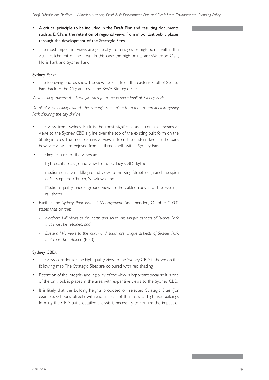- A critical principle to be included in the Draft Plan and resulting documents such as DCPs is the retention of regional views from important public places through the development of the Strategic Sites.
- The most important views are generally from ridges or high points within the visual catchment of the area. In this case the high points are Waterloo Oval, Hollis Park and Sydney Park.

### Sydney Park:

• The following photos show the view looking from the eastern knoll of Sydney Park back to the City and over the RWA Strategic Sites.

*View looking towards the Strategic Sites from the eastern knoll of Sydney Park*

*Detail of view looking towards the Strategic Sites taken from the eastern knoll in Sydney Park showing the city skyline*

- The view from Sydney Park is the most significant as it contains expansive views to the Sydney CBD skyline over the top of the existing built form on the Strategic Sites. The most expansive view is from the eastern knoll in the park however views are enjoyed from all three knolls within Sydney Park.
- The key features of the views are:
	- high quality background view to the Sydney CBD skyline
	- medium quality middle-ground view to the King Street ridge and the spire of St. Stephens Church, Newtown, and
	- Medium quality middle-ground view to the gabled rooves of the Eveleigh rail sheds.
- Further, the *Sydney Park Plan of Management* (as amended, October 2003) states that on the:
	- *Northern Hill; views to the north and south are unique aspects of Sydney Park that must be retained, and*
	- *Eastern Hill; views to the north and south are unique aspects of Sydney Park that must be retained* (P. 23).

### Sydney CBD:

- The view corridor for the high quality view to the Sydney CBD is shown on the following map. The Strategic Sites are coloured with red shading.
- Retention of the integrity and legibility of the view is important because it is one of the only public places in the area with expansive views to the Sydney CBD.
- It is likely that the building heights proposed on selected Strategic Sites (for example: Gibbons Street) will read as part of the mass of high-rise buildings forming the CBD, but a detailed analysis is necessary to confirm the impact of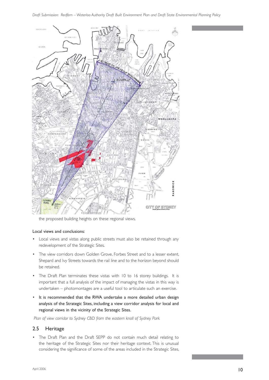

the proposed building heights on these regional views.

#### Local views and conclusions:

- Local views and vistas along public streets must also be retained through any redevelopment of the Strategic Sites.
- The view corridors down Golden Grove, Forbes Street and to a lesser extent, Shepard and Ivy Streets towards the rail line and to the horizon beyond should be retained.
- The Draft Plan terminates these vistas with 10 to 16 storey buildings. It is important that a full analysis of the impact of managing the vistas in this way is undertaken – photomontages are a useful tool to articulate such an exercise.
- It is recommended that the RWA undertake a more detailed urban design analysis of the Strategic Sites, including a view corridor analysis for local and regional views in the vicinity of the Strategic Sites.

 *Plan of view corridor to Sydney CBD from the eastern knoll of Sydney Park*

### 2.5 Heritage

• The Draft Plan and the Draft SEPP do not contain much detail relating to the heritage of the Strategic Sites nor their heritage context. This is unusual considering the significance of some of the areas included in the Strategic Sites,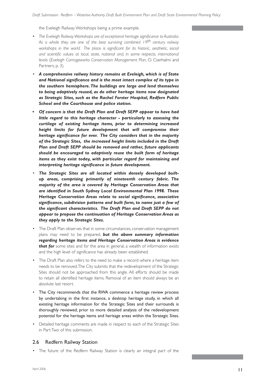the Eveleigh Railway Workshops being a prime example.

- *The Eveleigh Railway Workshops are of exceptional heritage significance to Australia*. *As a whole they are one of the best surviving combined 19th century railway*  workshops in the world. The place is significant for its historic, aesthetic, social *and scientific values at local, state, national and, in some respects, international levels* (*Eveleigh Carriageworks Conservation Management Plan*, O. Cserhalmi and Partners, p. 3).
- *A comprehensive railway history remains at Eveleigh, which is of State and National significance and is the most intact complex of its type in the southern hemisphere. The buildings are large and lend themselves to being adaptively reused, as do other heritage items now designated as Strategic Sites, such as the Rachel Forster Hospital, Redfern Public School and the Courthouse and police station.*
- *Of concern is that the Draft Plan and Draft SEPP appear to have had little regard to this heritage character - particularly to assessing the curtilage of existing heritage items, prior to determining increased height limits for future development that will compromise their heritage significance for ever. The City considers that in the majority of the Strategic Sites, the increased height limits included in the Draft Plan and Draft SEPP should be removed and rather, future applicants should be encouraged to adaptively reuse the built form of heritage items as they exist today, with particular regard for maintaining and interpreting heritage significance in future development.*
- *The Strategic Sites are all located within densely developed builtup areas, comprising primarily of nineteenth century fabric. The majority of the area is covered by Heritage Conservation Areas that are identified in South Sydney Local Environmental Plan 1998. These Heritage Conservation Areas relate to social significance, associative significance, subdivision patterns and built form, to name just a few of the significant characteristics. The Draft Plan and Draft SEPP do not appear to propose the continuation of Heritage Conservation Areas as they apply to the Strategic Sites.*
- The Draft Plan observes that in some circumstances, conservation management plans may need to be prepared, *but the above summary information regarding heritage items and Heritage Conservation Areas is evidence that for* some sites and for the area in general, a wealth of information exists and the high level of significance has already been established.
- The Draft Plan also refers to the need to make a record where a heritage item needs to be removed. The City submits that the redevelopment of the Strategic Sites should not be approached from this angle. All efforts should be made to retain all identified heritage items. Removal of an item should always be an absolute last resort.
- The City recommends that the RWA commence a heritage review process by undertaking in the first instance, a desktop heritage study, in which all existing heritage information for the Strategic Sites and their surrounds is thoroughly reviewed, prior to more detailed analysis of the redevelopment potential for the heritage items and heritage areas within the Strategic Sites.
- Detailed heritage comments are made in respect to each of the Strategic Sites in Part Two of this submission.

### 2.6 Redfern Railway Station

• The future of the Redfern Railway Station is clearly an integral part of the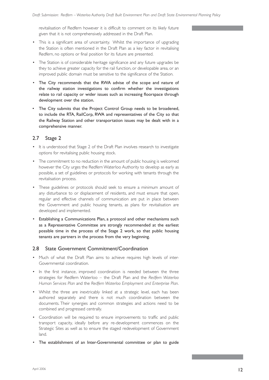revitalisation of Redfern however it is difficult to comment on its likely future given that it is not comprehensively addressed in the Draft Plan.

- This is a significant area of uncertainty. Whilst the importance of upgrading the Station is often mentioned in the Draft Plan as a key factor in revitalising Redfern, no options or final position for its future are presented.
- The Station is of considerable heritage significance and any future upgrades be they to achieve greater capacity for the rail function, or developable area, or an improved public domain must be sensitive to the significance of the Station.
- The City recommends that the RWA advise of the scope and nature of the railway station investigations to confirm whether the investigations relate to rail capacity or wider issues such as increasing floorspace through development over the station.
- The City submits that the Project Control Group needs to be broadened, to include the RTA, RailCorp, RWA and representatives of the City so that the Railway Station and other transportation issues may be dealt with in a comprehensive manner.

### 2.7 Stage 2

- It is understood that Stage 2 of the Draft Plan involves research to investigate options for revitalising public housing stock.
- The commitment to no reduction in the amount of public housing is welcomed however the City urges the Redfern Waterloo Authority to develop as early as possible, a set of guidelines or protocols for working with tenants through the revitalisation process.
- These guidelines or protocols should seek to ensure a minimum amount of any disturbance to or displacement of residents, and must ensure that open, regular and effective channels of communication are put in place between the Government and public housing tenants, as plans for revitalisation are developed and implemented.
- Establishing a Communications Plan, a protocol and other mechanisms such as a Representative Committee are strongly recommended at the earliest possible time in the process of the Stage 2 work, so that public housing tenants are partners in the process from the very beginning.

### 2.8 State Government Commitment/Coordination

- Much of what the Draft Plan aims to achieve requires high levels of inter-Governmental coordination.
- In the first instance, improved coordination is needed between the three strategies for Redfern Waterloo – the Draft Plan and the *Redfern Waterloo Human Services Plan* and the *Redfern Waterloo Employment and Enterprise Plan*.
- Whilst the three are inextricably linked at a strategic level, each has been authored separately and there is not much coordination between the documents. Their synergies and common strategies and actions need to be combined and progressed centrally.
- Coordination will be required to ensure improvements to traffic and public transport capacity, ideally before any re-development commences on the Strategic Sites as well as to ensure the staged redevelopment of Government land.
- The establishment of an Inter-Governmental committee or plan to guide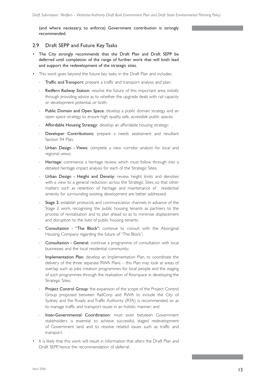(and where necessary, to enforce) Government contribution is strongly recommended.

### 2.9 Draft SEPP and Future Key Tasks

- The City strongly recommends that the Draft Plan and Draft SEPP be deferred until completion of the range of further work that will both lead and support the redevelopment of the strategic sites.
- This work goes beyond the future key tasks in the Draft Plan and includes:
	- Traffic and Transport: prepare a traffic and transport analysis and plan;
	- Redfern Railway Station: resolve the future of this important area, initially through providing advice as to whether the upgrade deals with rail capacity or development potential, or both;
	- Public Domain and Open Space: develop a public domain strategy and an open space strategy, to ensure high quality, safe, accessible public spaces;
	- Affordable Housing Strategy: develop an affordable housing strategy;
	- Developer Contributions: prepare a needs assessment and resultant Section 94 Plan;
	- Urban Design Views: complete a view corridor analysis for local and regional views;
	- Heritage: commence a heritage review, which must follow through into a detailed heritage impact analysis for each of the Strategic Sites;
	- Urban Design Height and Density: review height limits and densities with a view to a general reduction across the Strategic Sites, so that other matters such as retention of heritage and maintenance of residential amenity for surrounding existing development are better addressed;
	- Stage 2: establish protocols and communication channels in advance of the Stage 2 work, recognising the public housing tenants as partners to the process of revitalisation and to plan ahead so as to minimise displacement and disruption to the lives of public housing tenants;
	- Consultation "The Block": continue to consult with the Aboriginal Housing Company regarding the future of "The Block";
	- Consultation General: continue a programme of consultation with local businesses and the local residential community;
	- Implementation Plan: develop an Implementation Plan, to coordinate the delivery of the three separate RWA Plans – this Plan may look at areas of overlap such as jobs creation programmes for local people and the staging of such programmes through the realisation of floorspace in developing the Strategic Sites;
	- Project Control Group: the expansion of the scope of the Project Control Group proposed between RailCorp and RWA to include the City of Sydney and the Roads and Traffic Authority (RTA) is recommended, so as to manage traffic and transport issues in an holistic manner; and
	- Inter-Governmental Coordination: must exist between Government stakeholders is essential to achieve successful, staged redevelopment of Government land and to resolve related issues such as traffic and transport.
- It is likely that this work will result in information that alters the Draft Plan and Draft SEPP, hence the recommendation of deferral.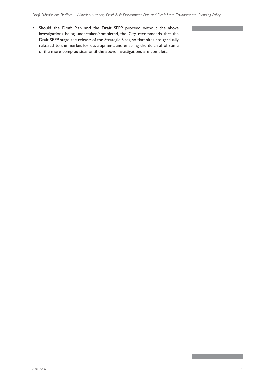• Should the Draft Plan and the Draft SEPP proceed without the above investigations being undertaken/completed, the City recommends that the Draft SEPP stage the release of the Strategic Sites, so that sites are gradually released to the market for development, and enabling the deferral of some of the more complex sites until the above investigations are complete.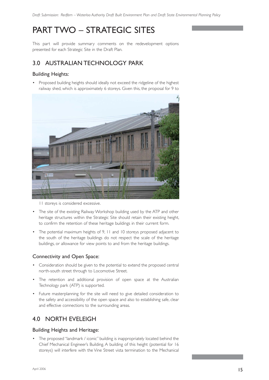# PART TWO – STRATEGIC SITES

This part will provide summary comments on the redevelopment options presented for each Strategic Site in the Draft Plan.

### 3.0 AUSTRALIAN TECHNOLOGY PARK

### Building Heights:

• Proposed building heights should ideally not exceed the ridgeline of the highest railway shed, which is approximately 6 storeys. Given this, the proposal for 9 to



11 storeys is considered excessive.

- The site of the existing Railway Workshop building used by the ATP and other heritage structures within the Strategic Site should retain their existing height, to confirm the retention of these heritage buildings in their current form.
- The potential maximum heights of 9, 11 and 10 storeys proposed adjacent to the south of the heritage buildings do not respect the scale of the heritage buildings, or allowance for view points to and from the heritage buildings.

### Connectivity and Open Space:

- Consideration should be given to the potential to extend the proposed central north-south street through to Locomotive Street.
- The retention and additional provision of open space at the Australian Technology park (ATP) is supported.
- Future masterplanning for the site will need to give detailed consideration to the safety and accessibility of the open space and also to establishing safe, clear and effective connections to the surrounding areas.

### 4.0 NORTH EVELEIGH

### Building Heights and Heritage:

• The proposed "landmark / iconic" building is inappropriately located behind the Chief Mechanical Engineer's Building. A building of this height (potential for 16 storeys) will interfere with the Vine Street vista termination to the Mechanical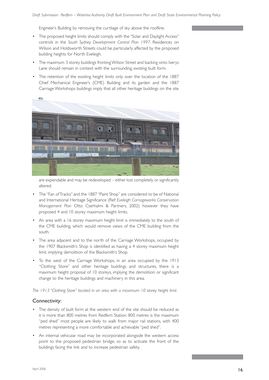Engineer's Building by removing the curtilage of sky above the roofline.

- The proposed height limits should comply with the "Solar and Daylight Access" controls in the *South Sydney Development Control Plan 1997*. Residences on Wilson and Holdsworth Streets could be particularly affected by the proposed building heights for North Eveleigh.
- The maximum 3 storey buildings fronting Wilson Street and backing onto Iverys Lane should remain in context with the surrounding, existing built form.
- The retention of the existing height limits only over the location of the 1887 Chief Mechanical Engineer's (CME) Building and its garden and the 1887 Carriage Workshops buildings imply that all other heritage buildings on the site



are expendable and may be redeveloped – either lost completely or significantly altered.

- The "Fan of Tracks" and the 1887 "Paint Shop" are considered to be of National and International Heritage Significance (Ref: *Eveleigh Carriageworks Conservation Management Plan* Otto Cserhalmi & Partners, 2002) however they have proposed 4 and 10 storey maximum height limits.
- An area with a 16 storey maximum height limit is immediately to the south of the CME building, which would remove views of the CME building from the south.
- The area adjacent and to the north of the Carriage Workshops, occupied by the 1907 Blacksmith's Shop is identified as having a 4 storey maximum height limit, implying demolition of the Blacksmith's Shop.
- To the west of the Carriage Workshops, in an area occupied by the 1913 "Clothing Store" and other heritage buildings and structures, there is a maximum height proposal of 10 storeys, implying the demolition or significant change to the heritage buildings and machinery in this area.

*The 1913 "Clothing Store" located in an area with a maximum 10 storey height limit*

### Connectivity:

- The density of built form at the western end of the site should be reduced as it is more than 800 metres from Redfern Station. 800 metres is the maximum "ped shed" most people are likely to walk from major rail stations, with 400 metres representing a more comfortable and achievable "ped shed".
- An internal vehicular road may be incorporated alongside the western access point to the proposed pedestrian bridge, so as to activate the front of the buildings facing the link and to increase pedestrian safety.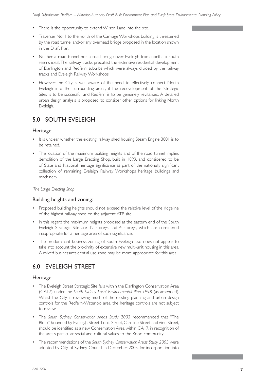- There is the opportunity to extend Wilson Lane into the site.
- Traverser No. 1 to the north of the Carriage Workshops building is threatened by the road tunnel and/or any overhead bridge proposed in the location shown in the Draft Plan.
- Neither a road tunnel nor a road bridge over Eveleigh from north to south seems ideal. The railway tracks predated the extensive residential development of Darlington and Redfern, suburbs which were always divided by the railway tracks and Eveleigh Railway Workshops.
- However the City is well aware of the need to effectively connect North Eveleigh into the surrounding areas, if the redevelopment of the Strategic Sites is to be successful and Redfern is to be genuinely revitalised. A detailed urban design analysis is proposed, to consider other options for linking North Eveleigh.

### 5.0 SOUTH EVELEIGH

### Heritage:

- It is unclear whether the existing railway shed housing Steam Engine 3801 is to be retained.
- The location of the maximum building heights and of the road tunnel implies demolition of the Large Erecting Shop, built in 1899, and considered to be of State and National heritage significance as part of the nationally significant collection of remaining Eveleigh Railway Workshops heritage buildings and machinery.

### *The Large Erecting Shop*

### Building heights and zoning:

- Proposed building heights should not exceed the relative level of the ridgeline of the highest railway shed on the adjacent ATP site.
- In this regard the maximum heights proposed at the eastern end of the South Eveleigh Strategic Site are 12 storeys and 4 storeys, which are considered inappropriate for a heritage area of such significance.
- The predominant business zoning of South Eveleigh also does not appear to take into account the proximity of extensive new multi-unit housing in this area. A mixed business/residential use zone may be more appropriate for this area.

### 6.0 EVELEIGH STREET

### Heritage:

- The Eveleigh Street Strategic Site falls within the Darlington Conservation Area (CA17) under the *South Sydney Local Environmental Plan 1998* (as amended). Whilst the City is reviewing much of the existing planning and urban design controls for the Redfern-Waterloo area, the heritage controls are not subject to review.
- The *South Sydney Conservation Areas Study 2003* recommended that "The Block" bounded by Eveleigh Street, Louis Street, Caroline Street and Vine Street, should be identified as a new Conservation Area within CA17, in recognition of the area's particular social and cultural values to the Koori community.
- The recommendations of the *South Sydney Conservation Areas Study 2003* were adopted by City of Sydney Council in December 2005, for incorporation into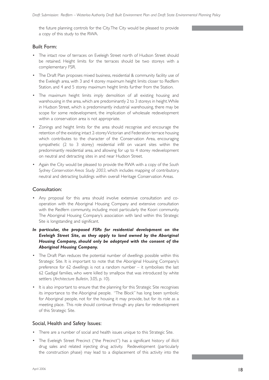the future planning controls for the City. The City would be pleased to provide a copy of this study to the RWA.

### Built Form:

- The intact row of terraces on Eveleigh Street north of Hudson Street should be retained. Height limits for the terraces should be two storeys with a complementary FSR.
- The Draft Plan proposes mixed business, residential & community facility use of the Eveleigh area, with 3 and 4 storey maximum height limits closer to Redfern Station, and 4 and 5 storey maximum height limits further from the Station.
- The maximum height limits imply demolition of all existing housing and warehousing in the area, which are predominantly 2 to 3 storeys in height. While in Hudson Street, which is predominantly industrial warehousing, there may be scope for some redevelopment, the implication of wholesale redevelopment within a conservation area is not appropriate.
- Zonings and height limits for the area should recognise and encourage the retention of the existing intact 2-storey Victorian and Federation terrace housing which contributes to the character of the Conservation Area, encouraging sympathetic (2 to 3 storey) residential infill on vacant sites within the predominantly residential area, and allowing for up to 4 storey redevelopment on neutral and detracting sites in and near Hudson Street.
- Again the City would be pleased to provide the RWA with a copy of the *South Sydney Conservation Areas Study 2003*, which includes mapping of contributory, neutral and detracting buildings within overall Heritage Conservation Areas.

### Consultation:

- Any proposal for this area should involve extensive consultation and cooperation with the Aboriginal Housing Company and extensive consultation with the Redfern community, including most particularly the Koori community. The Aboriginal Housing Company's association with land within this Strategic Site is longstanding and significant.
- *In particular, the proposed FSRs for residential development on the Eveleigh Street Site, as they apply to land owned by the Aboriginal Housing Company, should only be adoptyed with the consent of the Aboriginal Housing Company.*
- The Draft Plan reduces the potential number of dwellings possible within this Strategic Site. It is important to note that the Aboriginal Housing Company's preference for 62 dwellings is not a random number – it symbolises the last 62 Gadigal families, who were killed by smallpox that was introduced by white settlers (*Architecture Bulletin*, 3.05, p. 10).
- It is also important to ensure that the planning for this Strategic Site recognises its importance to the Aboriginal people. "The Block" has long been symbolic for Aboriginal people, not for the housing it may provide, but for its role as a meeting place. This role should continue through any plans for redevelopment of this Strategic Site.

### Social, Health and Safety Issues:

- There are a number of social and health issues unique to this Strategic Site.
- The Eveleigh Street Precinct ("the Precinct") has a significant history of illicit drug sales and related injecting drug activity. Redevelopment (particularly the construction phase) may lead to a displacement of this activity into the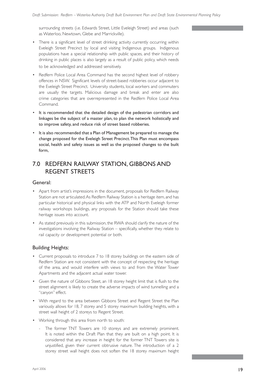surrounding streets (i.e. Edwards Street, Little Eveleigh Street) and areas (such as Waterloo, Newtown, Glebe and Marrickville).

- There is a significant level of street drinking activity currently occurring within Eveleigh Street Precinct by local and visiting Indigenous groups. Indigenous populations have a special relationship with public spaces, and their history of drinking in public places is also largely as a result of public policy, which needs to be acknowledged and addressed sensitively.
- Redfern Police Local Area Command has the second highest level of robbery offences in NSW. Significant levels of street-based robberies occur adjacent to the Eveleigh Street Precinct. University students, local workers and commuters are usually the targets. Malicious damage and break and enter are also crime categories that are overrepresented in the Redfern Police Local Area Command.
- It is recommended that the detailed design of the pedestrian corridors and linkages be the subject of a master plan, to plan the network holistically and to improve safety, and reduce risk of street based robberies.
- It is also recommended that a Plan of Management be prepared to manage the change proposed for the Eveleigh Street Precinct. This Plan must encompass social, health and safety issues as well as the proposed changes to the built form,

### 7.0 REDFERN RAILWAY STATION, GIBBONS AND REGENT STREETS

### General:

- Apart from artist's impressions in the document, proposals for Redfern Railway Station are not articulated. As Redfern Railway Station is a heritage item, and has particular historical and physical links with the ATP and North Eveleigh former railway workshops buildings, any proposals for the Station should take these heritage issues into account.
- As stated previously in this submission, the RWA should clarify the nature of the investigations involving the Railway Station – specifically, whether they relate to rail capacity or development potential or both.

### Building Heights:

- Current proposals to introduce 7 to 18 storey buildings on the eastern side of Redfern Station are not consistent with the concept of respecting the heritage of the area, and would interfere with views to and from the Water Tower Apartments and the adjacent actual water tower.
- Given the nature of Gibbons Steet, an 18 storey height limit that is flush to the street alignment is likely to create the adverse impacts of wind tunnelling and a "canyon" effect.
- With regard to the area between Gibbons Street and Regent Street the Plan variously allows for 18, 7 storey and 5 storey maximum building heights, with a street wall height of 2 storeys to Regent Street.
- Working through this area from north to south:
	- The former TNT Towers are 10 storeys and are extremely prominent. It is noted within the Draft Plan that they are built on a high point. It is considered that any increase in height for the former TNT Towers site is unjustified, given their current obtrusive nature. The introduction of a 2 storey street wall height does not soften the 18 storey maximum height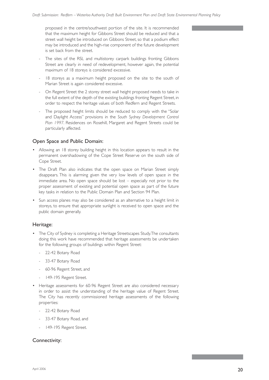proposed in the centre/southwest portion of the site. It is recommended that the maximum height for Gibbons Street should be reduced and that a street wall height be introduced on Gibbons Street, so that a podium effect may be introduced and the high-rise component of the future development is set back from the street.

- The sites of the RSL and multistorey carpark buildings fronting Gibbons Street are clearly in need of redevelopment, however again, the potential maximum of 18 storeys is considered excessive.
- 18 storeys as a maximum height proposed on the site to the south of Marian Street is again considered excessive.
- On Regent Street the 2 storey street wall height proposed needs to take in the full extent of the depth of the existing buildings fronting Regent Street, in order to respect the heritage values of both Redfern and Regent Streets.
- The proposed height limits should be reduced to comply with the "Solar and Daylight Access" provisions in the *South Sydney Development Control Plan 1997*. Residences on Rosehill, Margaret and Regent Streets could be particularly affected.

### Open Space and Public Domain:

- Allowing an 18 storey building height in this location appears to result in the permanent overshadowing of the Cope Street Reserve on the south side of Cope Street.
- The Draft Plan also indicates that the open space on Marian Street simply disappears. This is alarming given the very low levels of open space in the immediate area. No open space should be lost – especially not prior to the proper assessment of existing and potential open space as part of the future key tasks in relation to the Public Domain Plan and Section 94 Plan.
- Sun access planes may also be considered as an alternative to a height limit in storeys, to ensure that appropriate sunlight is received to open space and the public domain generally.

### Heritage:

- The City of Sydney is completing a Heritage Streetscapes Study. The consultants doing this work have recommended that heritage assessments be undertaken for the following groups of buildings within Regent Street:
	- 22-42 Botany Road
	- 33-47 Botany Road
	- 60-96 Regent Street, and
	- 149-195 Regent Street.
- Heritage assessments for 60-96 Regent Street are also considered necessary in order to assist the understanding of the heritage value of Regent Street. The City has recently commissioned heritage assessments of the following properties:
	- 22-42 Botany Road
	- 33-47 Botany Road, and
	- 149-195 Regent Street.

### Connectivity: